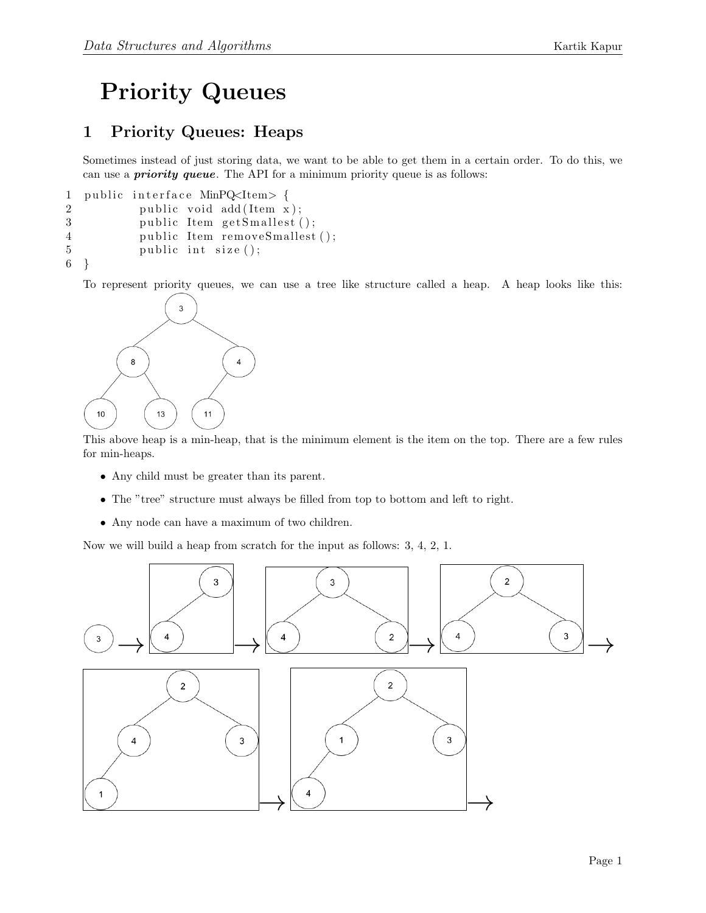## Priority Queues

## 1 Priority Queues: Heaps

Sometimes instead of just storing data, we want to be able to get them in a certain order. To do this, we can use a *priority queue*. The API for a minimum priority queue is as follows:

```
1 public interface MinPQ<Item> {
2 public void add (Item x);
3 public Item getSmallest();
4 public Item removeSmallest();
5 public int size ();
6 }
```
To represent priority queues, we can use a tree like structure called a heap. A heap looks like this:



This above heap is a min-heap, that is the minimum element is the item on the top. There are a few rules for min-heaps.

- Any child must be greater than its parent.
- The "tree" structure must always be filled from top to bottom and left to right.
- Any node can have a maximum of two children.

Now we will build a heap from scratch for the input as follows: 3, 4, 2, 1.

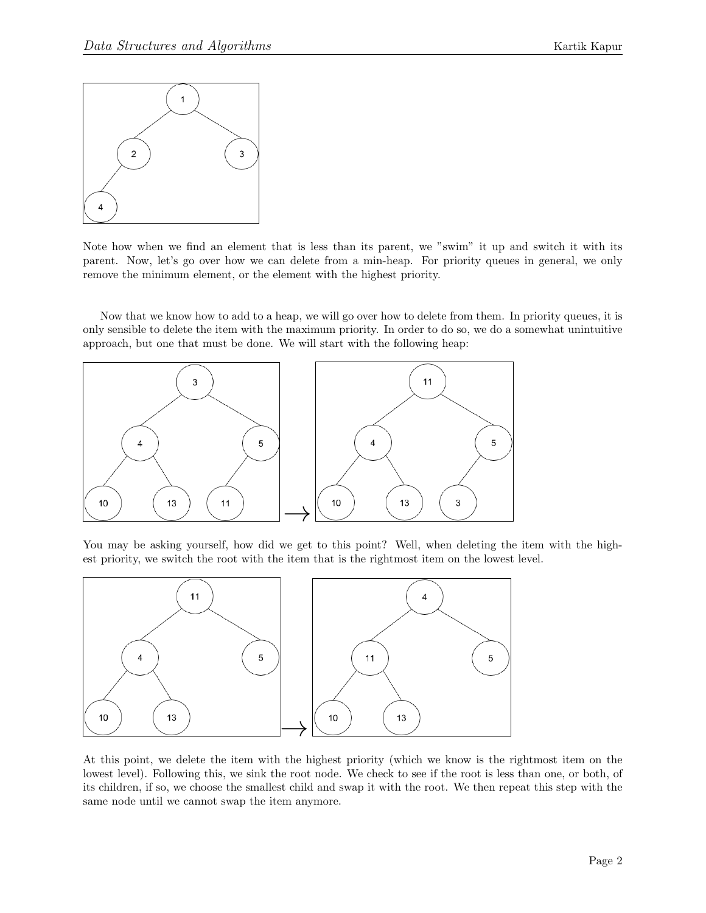

Note how when we find an element that is less than its parent, we "swim" it up and switch it with its parent. Now, let's go over how we can delete from a min-heap. For priority queues in general, we only remove the minimum element, or the element with the highest priority.

Now that we know how to add to a heap, we will go over how to delete from them. In priority queues, it is only sensible to delete the item with the maximum priority. In order to do so, we do a somewhat unintuitive approach, but one that must be done. We will start with the following heap:



You may be asking yourself, how did we get to this point? Well, when deleting the item with the highest priority, we switch the root with the item that is the rightmost item on the lowest level.



At this point, we delete the item with the highest priority (which we know is the rightmost item on the lowest level). Following this, we sink the root node. We check to see if the root is less than one, or both, of its children, if so, we choose the smallest child and swap it with the root. We then repeat this step with the same node until we cannot swap the item anymore.